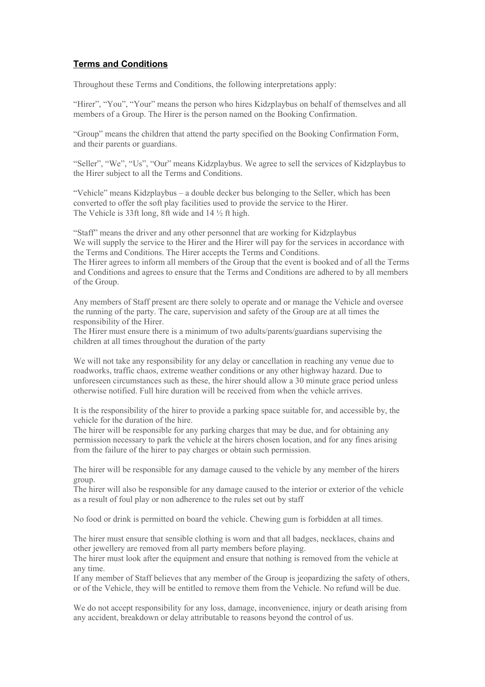## **Terms and Conditions**

Throughout these Terms and Conditions, the following interpretations apply:

"Hirer", "You", "Your" means the person who hires Kidzplaybus on behalf of themselves and all members of a Group. The Hirer is the person named on the Booking Confirmation.

"Group" means the children that attend the party specified on the Booking Confirmation Form, and their parents or guardians.

"Seller", "We", "Us", "Our" means Kidzplaybus. We agree to sell the services of Kidzplaybus to the Hirer subject to all the Terms and Conditions.

"Vehicle" means Kidzplaybus – a double decker bus belonging to the Seller, which has been converted to offer the soft play facilities used to provide the service to the Hirer. The Vehicle is 33ft long, 8ft wide and 14 ½ ft high.

"Staff" means the driver and any other personnel that are working for Kidzplaybus We will supply the service to the Hirer and the Hirer will pay for the services in accordance with the Terms and Conditions. The Hirer accepts the Terms and Conditions.

The Hirer agrees to inform all members of the Group that the event is booked and of all the Terms and Conditions and agrees to ensure that the Terms and Conditions are adhered to by all members of the Group.

Any members of Staff present are there solely to operate and or manage the Vehicle and oversee the running of the party. The care, supervision and safety of the Group are at all times the responsibility of the Hirer.

The Hirer must ensure there is a minimum of two adults/parents/guardians supervising the children at all times throughout the duration of the party

We will not take any responsibility for any delay or cancellation in reaching any venue due to roadworks, traffic chaos, extreme weather conditions or any other highway hazard. Due to unforeseen circumstances such as these, the hirer should allow a 30 minute grace period unless otherwise notified. Full hire duration will be received from when the vehicle arrives.

It is the responsibility of the hirer to provide a parking space suitable for, and accessible by, the vehicle for the duration of the hire.

The hirer will be responsible for any parking charges that may be due, and for obtaining any permission necessary to park the vehicle at the hirers chosen location, and for any fines arising from the failure of the hirer to pay charges or obtain such permission.

The hirer will be responsible for any damage caused to the vehicle by any member of the hirers group.

The hirer will also be responsible for any damage caused to the interior or exterior of the vehicle as a result of foul play or non adherence to the rules set out by staff

No food or drink is permitted on board the vehicle. Chewing gum is forbidden at all times.

The hirer must ensure that sensible clothing is worn and that all badges, necklaces, chains and other jewellery are removed from all party members before playing.

The hirer must look after the equipment and ensure that nothing is removed from the vehicle at any time.

If any member of Staff believes that any member of the Group is jeopardizing the safety of others, or of the Vehicle, they will be entitled to remove them from the Vehicle. No refund will be due.

We do not accept responsibility for any loss, damage, inconvenience, injury or death arising from any accident, breakdown or delay attributable to reasons beyond the control of us.